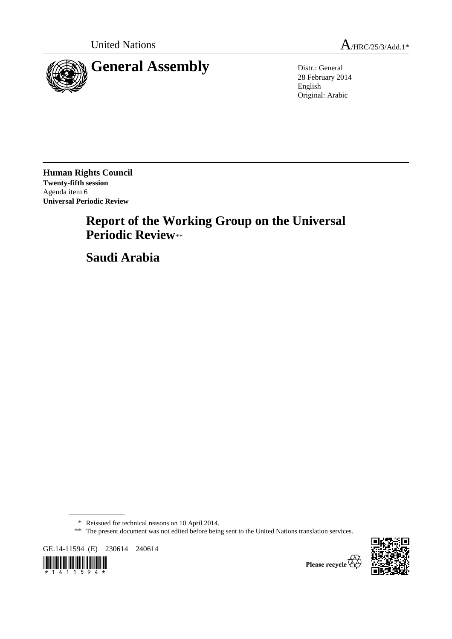



28 February 2014 English Original: Arabic

**Human Rights Council Twenty-fifth session**  Agenda item 6 **Universal Periodic Review** 

# **Report of the Working Group on the Universal Periodic Review**\*\*

 **Saudi Arabia** 

GE.14-11594 (E) 230614 240614





Please recycle

<sup>\*</sup> Reissued for technical reasons on 10 April 2014.

<sup>\*\*</sup> The present document was not edited before being sent to the United Nations translation services.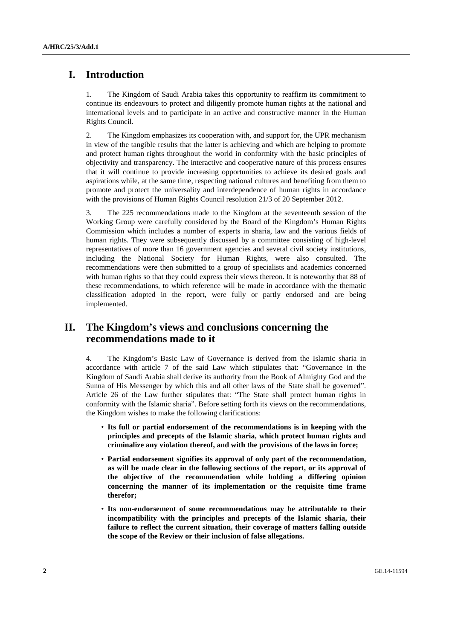## **I. Introduction**

1. The Kingdom of Saudi Arabia takes this opportunity to reaffirm its commitment to continue its endeavours to protect and diligently promote human rights at the national and international levels and to participate in an active and constructive manner in the Human Rights Council.

2. The Kingdom emphasizes its cooperation with, and support for, the UPR mechanism in view of the tangible results that the latter is achieving and which are helping to promote and protect human rights throughout the world in conformity with the basic principles of objectivity and transparency. The interactive and cooperative nature of this process ensures that it will continue to provide increasing opportunities to achieve its desired goals and aspirations while, at the same time, respecting national cultures and benefiting from them to promote and protect the universality and interdependence of human rights in accordance with the provisions of Human Rights Council resolution 21/3 of 20 September 2012.

3. The 225 recommendations made to the Kingdom at the seventeenth session of the Working Group were carefully considered by the Board of the Kingdom's Human Rights Commission which includes a number of experts in sharia, law and the various fields of human rights. They were subsequently discussed by a committee consisting of high-level representatives of more than 16 government agencies and several civil society institutions, including the National Society for Human Rights, were also consulted. The recommendations were then submitted to a group of specialists and academics concerned with human rights so that they could express their views thereon. It is noteworthy that 88 of these recommendations, to which reference will be made in accordance with the thematic classification adopted in the report, were fully or partly endorsed and are being implemented.

## **II. The Kingdom's views and conclusions concerning the recommendations made to it**

4. The Kingdom's Basic Law of Governance is derived from the Islamic sharia in accordance with article 7 of the said Law which stipulates that: "Governance in the Kingdom of Saudi Arabia shall derive its authority from the Book of Almighty God and the Sunna of His Messenger by which this and all other laws of the State shall be governed". Article 26 of the Law further stipulates that: "The State shall protect human rights in conformity with the Islamic sharia". Before setting forth its views on the recommendations, the Kingdom wishes to make the following clarifications:

- **Its full or partial endorsement of the recommendations is in keeping with the principles and precepts of the Islamic sharia, which protect human rights and criminalize any violation thereof, and with the provisions of the laws in force;**
- **Partial endorsement signifies its approval of only part of the recommendation, as will be made clear in the following sections of the report, or its approval of the objective of the recommendation while holding a differing opinion concerning the manner of its implementation or the requisite time frame therefor;**
- **Its non-endorsement of some recommendations may be attributable to their incompatibility with the principles and precepts of the Islamic sharia, their failure to reflect the current situation, their coverage of matters falling outside the scope of the Review or their inclusion of false allegations.**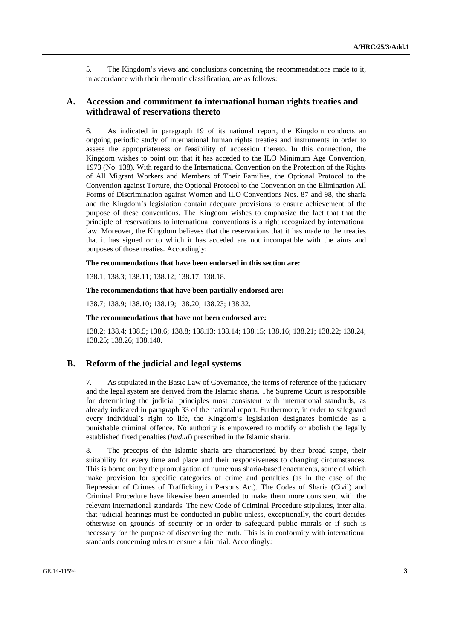5. The Kingdom's views and conclusions concerning the recommendations made to it, in accordance with their thematic classification, are as follows:

## **A. Accession and commitment to international human rights treaties and withdrawal of reservations thereto**

6. As indicated in paragraph 19 of its national report, the Kingdom conducts an ongoing periodic study of international human rights treaties and instruments in order to assess the appropriateness or feasibility of accession thereto. In this connection, the Kingdom wishes to point out that it has acceded to the ILO Minimum Age Convention, 1973 (No. 138). With regard to the International Convention on the Protection of the Rights of All Migrant Workers and Members of Their Families, the Optional Protocol to the Convention against Torture, the Optional Protocol to the Convention on the Elimination All Forms of Discrimination against Women and ILO Conventions Nos. 87 and 98, the sharia and the Kingdom's legislation contain adequate provisions to ensure achievement of the purpose of these conventions. The Kingdom wishes to emphasize the fact that that the principle of reservations to international conventions is a right recognized by international law. Moreover, the Kingdom believes that the reservations that it has made to the treaties that it has signed or to which it has acceded are not incompatible with the aims and purposes of those treaties. Accordingly:

#### **The recommendations that have been endorsed in this section are:**

138.1; 138.3; 138.11; 138.12; 138.17; 138.18.

#### **The recommendations that have been partially endorsed are:**

138.7; 138.9; 138.10; 138.19; 138.20; 138.23; 138.32.

#### **The recommendations that have not been endorsed are:**

138.2; 138.4; 138.5; 138.6; 138.8; 138.13; 138.14; 138.15; 138.16; 138.21; 138.22; 138.24; 138.25; 138.26; 138.140.

## **B. Reform of the judicial and legal systems**

7. As stipulated in the Basic Law of Governance, the terms of reference of the judiciary and the legal system are derived from the Islamic sharia. The Supreme Court is responsible for determining the judicial principles most consistent with international standards, as already indicated in paragraph 33 of the national report. Furthermore, in order to safeguard every individual's right to life, the Kingdom's legislation designates homicide as a punishable criminal offence. No authority is empowered to modify or abolish the legally established fixed penalties (*hudud*) prescribed in the Islamic sharia.

8. The precepts of the Islamic sharia are characterized by their broad scope, their suitability for every time and place and their responsiveness to changing circumstances. This is borne out by the promulgation of numerous sharia-based enactments, some of which make provision for specific categories of crime and penalties (as in the case of the Repression of Crimes of Trafficking in Persons Act). The Codes of Sharia (Civil) and Criminal Procedure have likewise been amended to make them more consistent with the relevant international standards. The new Code of Criminal Procedure stipulates, inter alia, that judicial hearings must be conducted in public unless, exceptionally, the court decides otherwise on grounds of security or in order to safeguard public morals or if such is necessary for the purpose of discovering the truth. This is in conformity with international standards concerning rules to ensure a fair trial. Accordingly: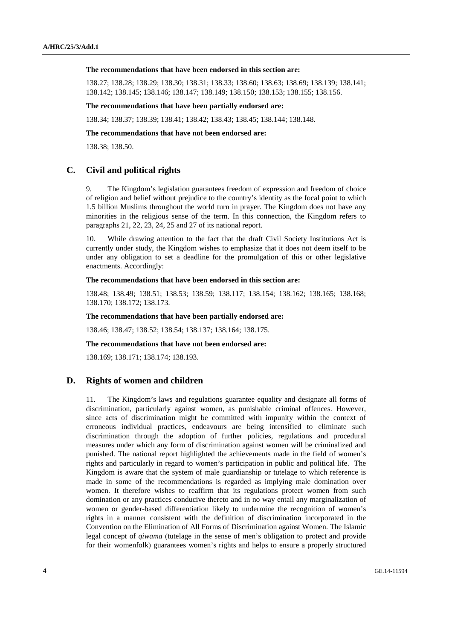#### **The recommendations that have been endorsed in this section are:**

138.27; 138.28; 138.29; 138.30; 138.31; 138.33; 138.60; 138.63; 138.69; 138.139; 138.141; 138.142; 138.145; 138.146; 138.147; 138.149; 138.150; 138.153; 138.155; 138.156.

#### **The recommendations that have been partially endorsed are:**

138.34; 138.37; 138.39; 138.41; 138.42; 138.43; 138.45; 138.144; 138.148.

#### **The recommendations that have not been endorsed are:**

138.38; 138.50.

## **C. Civil and political rights**

9. The Kingdom's legislation guarantees freedom of expression and freedom of choice of religion and belief without prejudice to the country's identity as the focal point to which 1.5 billion Muslims throughout the world turn in prayer. The Kingdom does not have any minorities in the religious sense of the term. In this connection, the Kingdom refers to paragraphs 21, 22, 23, 24, 25 and 27 of its national report.

10. While drawing attention to the fact that the draft Civil Society Institutions Act is currently under study, the Kingdom wishes to emphasize that it does not deem itself to be under any obligation to set a deadline for the promulgation of this or other legislative enactments. Accordingly:

#### **The recommendations that have been endorsed in this section are:**

138.48; 138.49; 138.51; 138.53; 138.59; 138.117; 138.154; 138.162; 138.165; 138.168; 138.170; 138.172; 138.173.

#### **The recommendations that have been partially endorsed are:**

138.46; 138.47; 138.52; 138.54; 138.137; 138.164; 138.175.

### **The recommendations that have not been endorsed are:**

138.169; 138.171; 138.174; 138.193.

## **D. Rights of women and children**

11. The Kingdom's laws and regulations guarantee equality and designate all forms of discrimination, particularly against women, as punishable criminal offences. However, since acts of discrimination might be committed with impunity within the context of erroneous individual practices, endeavours are being intensified to eliminate such discrimination through the adoption of further policies, regulations and procedural measures under which any form of discrimination against women will be criminalized and punished. The national report highlighted the achievements made in the field of women's rights and particularly in regard to women's participation in public and political life. The Kingdom is aware that the system of male guardianship or tutelage to which reference is made in some of the recommendations is regarded as implying male domination over women. It therefore wishes to reaffirm that its regulations protect women from such domination or any practices conducive thereto and in no way entail any marginalization of women or gender-based differentiation likely to undermine the recognition of women's rights in a manner consistent with the definition of discrimination incorporated in the Convention on the Elimination of All Forms of Discrimination against Women. The Islamic legal concept of *qiwama* (tutelage in the sense of men's obligation to protect and provide for their womenfolk) guarantees women's rights and helps to ensure a properly structured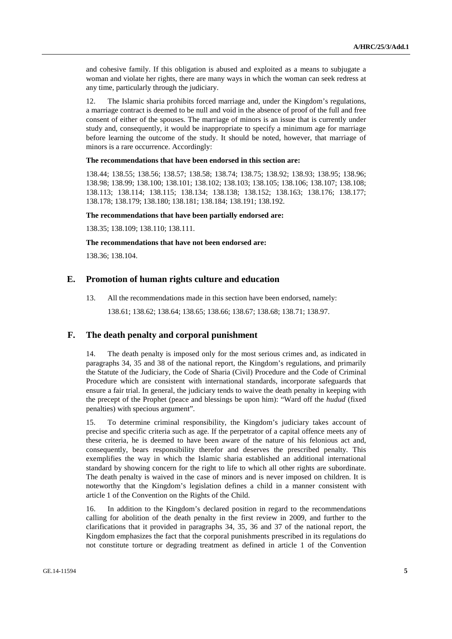and cohesive family. If this obligation is abused and exploited as a means to subjugate a woman and violate her rights, there are many ways in which the woman can seek redress at any time, particularly through the judiciary.

12. The Islamic sharia prohibits forced marriage and, under the Kingdom's regulations, a marriage contract is deemed to be null and void in the absence of proof of the full and free consent of either of the spouses. The marriage of minors is an issue that is currently under study and, consequently, it would be inappropriate to specify a minimum age for marriage before learning the outcome of the study. It should be noted, however, that marriage of minors is a rare occurrence. Accordingly:

#### **The recommendations that have been endorsed in this section are:**

138.44; 138.55; 138.56; 138.57; 138.58; 138.74; 138.75; 138.92; 138.93; 138.95; 138.96; 138.98; 138.99; 138.100; 138.101; 138.102; 138.103; 138.105; 138.106; 138.107; 138.108; 138.113; 138.114; 138.115; 138.134; 138.138; 138.152; 138.163; 138.176; 138.177; 138.178; 138.179; 138.180; 138.181; 138.184; 138.191; 138.192.

#### **The recommendations that have been partially endorsed are:**

138.35; 138.109; 138.110; 138.111.

#### **The recommendations that have not been endorsed are:**

138.36; 138.104.

## **E. Promotion of human rights culture and education**

13. All the recommendations made in this section have been endorsed, namely:

138.61; 138.62; 138.64; 138.65; 138.66; 138.67; 138.68; 138.71; 138.97.

## **F. The death penalty and corporal punishment**

14. The death penalty is imposed only for the most serious crimes and, as indicated in paragraphs 34, 35 and 38 of the national report, the Kingdom's regulations, and primarily the Statute of the Judiciary, the Code of Sharia (Civil) Procedure and the Code of Criminal Procedure which are consistent with international standards, incorporate safeguards that ensure a fair trial. In general, the judiciary tends to waive the death penalty in keeping with the precept of the Prophet (peace and blessings be upon him): "Ward off the *hudud* (fixed penalties) with specious argument".

15. To determine criminal responsibility, the Kingdom's judiciary takes account of precise and specific criteria such as age. If the perpetrator of a capital offence meets any of these criteria, he is deemed to have been aware of the nature of his felonious act and, consequently, bears responsibility therefor and deserves the prescribed penalty. This exemplifies the way in which the Islamic sharia established an additional international standard by showing concern for the right to life to which all other rights are subordinate. The death penalty is waived in the case of minors and is never imposed on children. It is noteworthy that the Kingdom's legislation defines a child in a manner consistent with article 1 of the Convention on the Rights of the Child.

16. In addition to the Kingdom's declared position in regard to the recommendations calling for abolition of the death penalty in the first review in 2009, and further to the clarifications that it provided in paragraphs 34, 35, 36 and 37 of the national report, the Kingdom emphasizes the fact that the corporal punishments prescribed in its regulations do not constitute torture or degrading treatment as defined in article 1 of the Convention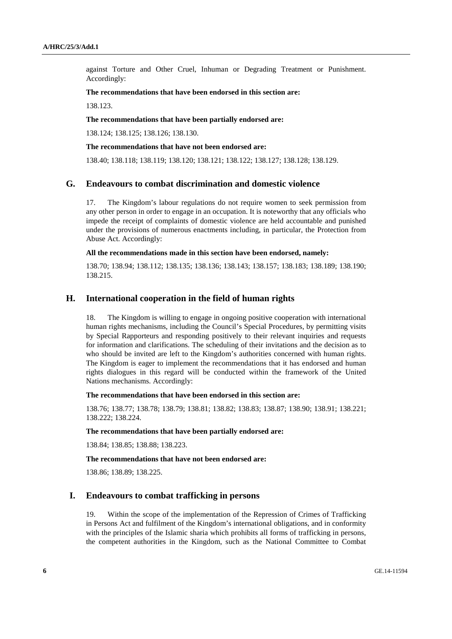against Torture and Other Cruel, Inhuman or Degrading Treatment or Punishment. Accordingly:

#### **The recommendations that have been endorsed in this section are:**

138.123.

## **The recommendations that have been partially endorsed are:**

138.124; 138.125; 138.126; 138.130.

## **The recommendations that have not been endorsed are:**

138.40; 138.118; 138.119; 138.120; 138.121; 138.122; 138.127; 138.128; 138.129.

## **G. Endeavours to combat discrimination and domestic violence**

17. The Kingdom's labour regulations do not require women to seek permission from any other person in order to engage in an occupation. It is noteworthy that any officials who impede the receipt of complaints of domestic violence are held accountable and punished under the provisions of numerous enactments including, in particular, the Protection from Abuse Act. Accordingly:

#### **All the recommendations made in this section have been endorsed, namely:**

138.70; 138.94; 138.112; 138.135; 138.136; 138.143; 138.157; 138.183; 138.189; 138.190; 138.215.

## **H. International cooperation in the field of human rights**

18. The Kingdom is willing to engage in ongoing positive cooperation with international human rights mechanisms, including the Council's Special Procedures, by permitting visits by Special Rapporteurs and responding positively to their relevant inquiries and requests for information and clarifications. The scheduling of their invitations and the decision as to who should be invited are left to the Kingdom's authorities concerned with human rights. The Kingdom is eager to implement the recommendations that it has endorsed and human rights dialogues in this regard will be conducted within the framework of the United Nations mechanisms. Accordingly:

#### **The recommendations that have been endorsed in this section are:**

138.76; 138.77; 138.78; 138.79; 138.81; 138.82; 138.83; 138.87; 138.90; 138.91; 138.221; 138.222; 138.224.

#### **The recommendations that have been partially endorsed are:**

138.84; 138.85; 138.88; 138.223.

#### **The recommendations that have not been endorsed are:**

138.86; 138.89; 138.225.

## **I. Endeavours to combat trafficking in persons**

19. Within the scope of the implementation of the Repression of Crimes of Trafficking in Persons Act and fulfilment of the Kingdom's international obligations, and in conformity with the principles of the Islamic sharia which prohibits all forms of trafficking in persons, the competent authorities in the Kingdom, such as the National Committee to Combat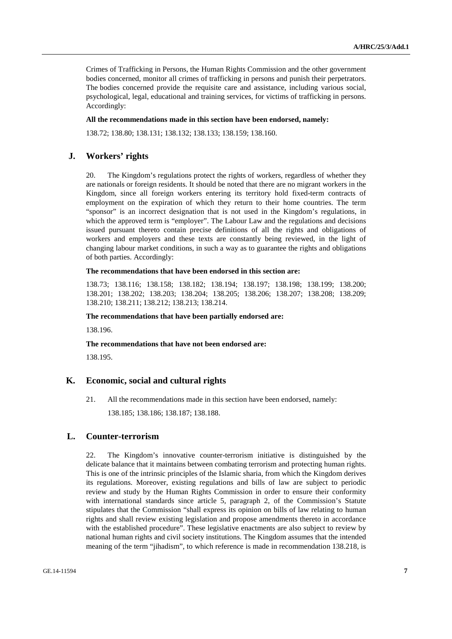Crimes of Trafficking in Persons, the Human Rights Commission and the other government bodies concerned, monitor all crimes of trafficking in persons and punish their perpetrators. The bodies concerned provide the requisite care and assistance, including various social, psychological, legal, educational and training services, for victims of trafficking in persons. Accordingly:

### **All the recommendations made in this section have been endorsed, namely:**

138.72; 138.80; 138.131; 138.132; 138.133; 138.159; 138.160.

## **J. Workers' rights**

20. The Kingdom's regulations protect the rights of workers, regardless of whether they are nationals or foreign residents. It should be noted that there are no migrant workers in the Kingdom, since all foreign workers entering its territory hold fixed-term contracts of employment on the expiration of which they return to their home countries. The term "sponsor" is an incorrect designation that is not used in the Kingdom's regulations, in which the approved term is "employer". The Labour Law and the regulations and decisions issued pursuant thereto contain precise definitions of all the rights and obligations of workers and employers and these texts are constantly being reviewed, in the light of changing labour market conditions, in such a way as to guarantee the rights and obligations of both parties. Accordingly:

## **The recommendations that have been endorsed in this section are:**

138.73; 138.116; 138.158; 138.182; 138.194; 138.197; 138.198; 138.199; 138.200; 138.201; 138.202; 138.203; 138.204; 138.205; 138.206; 138.207; 138.208; 138.209; 138.210; 138.211; 138.212; 138.213; 138.214.

#### **The recommendations that have been partially endorsed are:**

138.196.

## **The recommendations that have not been endorsed are:**

138.195.

## **K. Economic, social and cultural rights**

21. All the recommendations made in this section have been endorsed, namely: 138.185; 138.186; 138.187; 138.188.

## **L. Counter-terrorism**

22. The Kingdom's innovative counter-terrorism initiative is distinguished by the delicate balance that it maintains between combating terrorism and protecting human rights. This is one of the intrinsic principles of the Islamic sharia, from which the Kingdom derives its regulations. Moreover, existing regulations and bills of law are subject to periodic review and study by the Human Rights Commission in order to ensure their conformity with international standards since article 5, paragraph 2, of the Commission's Statute stipulates that the Commission "shall express its opinion on bills of law relating to human rights and shall review existing legislation and propose amendments thereto in accordance with the established procedure". These legislative enactments are also subject to review by national human rights and civil society institutions. The Kingdom assumes that the intended meaning of the term "jihadism", to which reference is made in recommendation 138.218, is